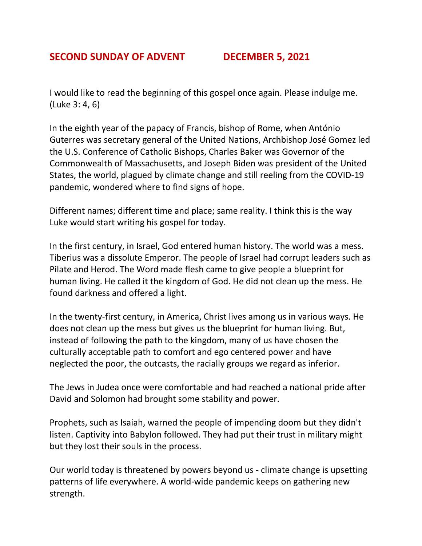## **SECOND SUNDAY OF ADVENT DECEMBER 5, 2021**

I would like to read the beginning of this gospel once again. Please indulge me. (Luke 3: 4, 6)

In the eighth year of the papacy of Francis, bishop of Rome, when António Guterres was secretary general of the United Nations, Archbishop José Gomez led the U.S. Conference of Catholic Bishops, Charles Baker was Governor of the Commonwealth of Massachusetts, and Joseph Biden was president of the United States, the world, plagued by climate change and still reeling from the COVID-19 pandemic, wondered where to find signs of hope.

Different names; different time and place; same reality. I think this is the way Luke would start writing his gospel for today.

In the first century, in Israel, God entered human history. The world was a mess. Tiberius was a dissolute Emperor. The people of Israel had corrupt leaders such as Pilate and Herod. The Word made flesh came to give people a blueprint for human living. He called it the kingdom of God. He did not clean up the mess. He found darkness and offered a light.

In the twenty-first century, in America, Christ lives among us in various ways. He does not clean up the mess but gives us the blueprint for human living. But, instead of following the path to the kingdom, many of us have chosen the culturally acceptable path to comfort and ego centered power and have neglected the poor, the outcasts, the racially groups we regard as inferior.

The Jews in Judea once were comfortable and had reached a national pride after David and Solomon had brought some stability and power.

Prophets, such as Isaiah, warned the people of impending doom but they didn't listen. Captivity into Babylon followed. They had put their trust in military might but they lost their souls in the process.

Our world today is threatened by powers beyond us - climate change is upsetting patterns of life everywhere. A world-wide pandemic keeps on gathering new strength.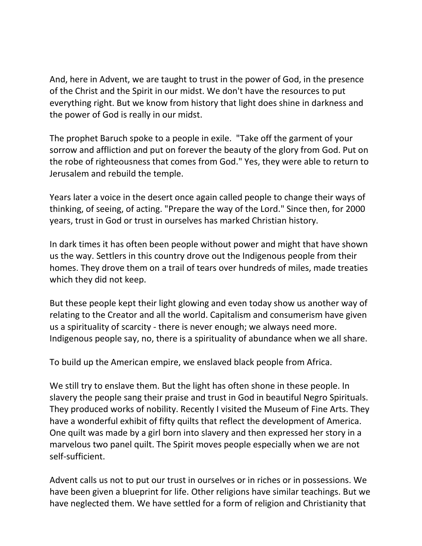And, here in Advent, we are taught to trust in the power of God, in the presence of the Christ and the Spirit in our midst. We don't have the resources to put everything right. But we know from history that light does shine in darkness and the power of God is really in our midst.

The prophet Baruch spoke to a people in exile. "Take off the garment of your sorrow and affliction and put on forever the beauty of the glory from God. Put on the robe of righteousness that comes from God." Yes, they were able to return to Jerusalem and rebuild the temple.

Years later a voice in the desert once again called people to change their ways of thinking, of seeing, of acting. "Prepare the way of the Lord." Since then, for 2000 years, trust in God or trust in ourselves has marked Christian history.

In dark times it has often been people without power and might that have shown us the way. Settlers in this country drove out the Indigenous people from their homes. They drove them on a trail of tears over hundreds of miles, made treaties which they did not keep.

But these people kept their light glowing and even today show us another way of relating to the Creator and all the world. Capitalism and consumerism have given us a spirituality of scarcity - there is never enough; we always need more. Indigenous people say, no, there is a spirituality of abundance when we all share.

To build up the American empire, we enslaved black people from Africa.

We still try to enslave them. But the light has often shone in these people. In slavery the people sang their praise and trust in God in beautiful Negro Spirituals. They produced works of nobility. Recently I visited the Museum of Fine Arts. They have a wonderful exhibit of fifty quilts that reflect the development of America. One quilt was made by a girl born into slavery and then expressed her story in a marvelous two panel quilt. The Spirit moves people especially when we are not self-sufficient.

Advent calls us not to put our trust in ourselves or in riches or in possessions. We have been given a blueprint for life. Other religions have similar teachings. But we have neglected them. We have settled for a form of religion and Christianity that